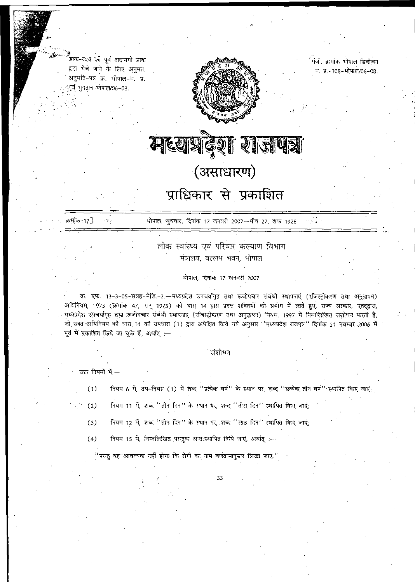डाक-व्यय को पूर्व-अदायगी डाक द्वारा भेजे जाने के लिए अनुमत. अनुमति-पत्र क्र. भोपाल-म. प्र. :पूर्व भुगतान भोपाल/06–08.



पंजी. क्रमांक भोपाल डिवीज़न म. प्र.-108-भोपाल/06-08.

मध्यप्रदेश राजपत्र (असाधारण)

## प्राधिकार से प्रकाशित

क्रमांक<sub>े</sub>17]. सिंहिक संस्थाल, बुधवार, दिनांक 17 जनवरी 2007—पौष 27, शक 1928 99

> लोक स्वांस्थ्य एवं परिवार कल्याण विभाग मंत्रालय, वल्लभ भवन, भोपाल

> > भोपाल, दिनांक 17 जनवरी 2007

क्र. एफ. 13-3-05-सत्रह-मेडि.-2.—मध्यप्रदेश उपचर्यागृह तथा रूजोपचार संबंधी स्थापनाएं (रजिस्ट्रीकरण तथा अनुज्ञापन) अधिनियम, 1973 (क्रमांक 47, सन् 1973) की धारा 14 द्वारा प्रदत्त शक्तियों को प्रयोग में लाते हुए, राज्य सरकार, एतद्द्वारा, - अधिनियम, 1973 (क्रमांक 47, सन् 1973) की धारा 14 द्वारा प्रदत्त शक्तियों को प्रयोग में लाते हुए, राज्य सरकार, एतद्द्वार<br>- मध्यप्रदेश उपचर्यागृह तथा रूजोपचार संबंधी स्थापनाएं (रजिस्ट्रीकरण तथा अनुज्ञापन) नियम, 1997 में नि - Slift of the second the second of the second of the second the second the second the second second in the second<br>अधिनियम की धारा 14 को उपधारा (1) द्वारा अपेक्षित किये गये अनुसार ''मध्यप्रदेश राजपत्र'' दिनांक 21 नवम्बर 2 पूर्व में प्रकाशित किये जा चुके हैं, अर्थात् :—

### संशोधन

उक्त नियमो मे $-$ 

- (1) नियम 6 में, उप-नियम (1) में शब्द "प्रत्येक वर्ष" के स्थान पर, शब्द "प्रत्येक तीन वर्ष"'स्थापित किए जाएं;
- (2) fiयम 11 में, शब्द "तीन दिन" के स्थान पर, शब्द "तीस दिन" स्थापित किए जाएं;
- (3) नियम 12 में, शब्द "तीन दिन" के स्थान पर, शब्द "साठ दिन" स्थापित किए जाएं;
- (4) fियम 15 में, निम्नलिखित परन्तुक अन्त:स्थापित किये जाएं, अर्थात् ;-

 $\rm ^{\prime\prime}$ परन्तु यह आवश्यक नहीं होगा कि रोगी का नाम वर्णक्रमानुसार लिखा जाए. '

33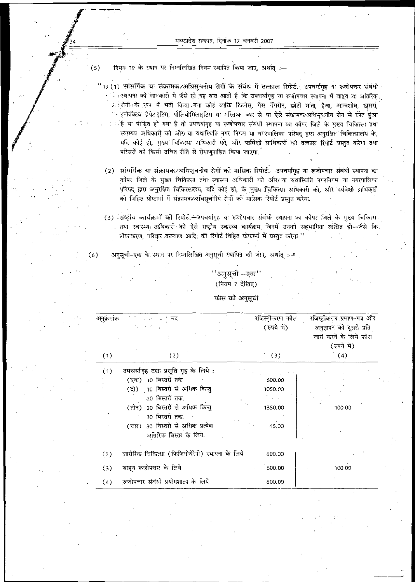(5) fian 19 के स्थान पर निम्नलिखित नियम स्थापित किया जाए, अर्थात :--

 $^{\prime\prime}$ 19 (1) सांसर्गिक या संक्रामक/अधिसूचनीय रोगों के संबंध में तत्काल .<br>' <sub>• 1</sub> स्थापना को जानकारी में जैसे ही यह बात आती है कि उपचर्यागृह या रूजोपचार स्थापना में बाह्य या आंतरिक. ः स्थापना का जानकारा म जस हा यह बात आता है कि उपचयागृह या रूजोपचार स्थापना में बाह्य या आतारक<br>अतिरोगी के रूप में भर्ती किया गया कोई व्यक्ति टिटनेस, गैस गैंगरीन, छोटी माता, हैजा, आन्त्रशोध, खुसरा  $^\circ$  इन्फेक्टिव हेपेटाइटिस, पोलियोमिलाइटिस या मस्तिष्क ज्वर से या ऐसे संक्रामक/अधिसचनीय रोग से ग्रस्त हंआ  $\bar{r}$ ां हैं या पीड़ित हो गया है तो उपचर्यागृह या रूजोपचार संबंधी स्थापना का कोपर जिले के मुख्य चिकित्सा तथा fant 2 3 ftand an siv que d'allet de la prima que te signa que signa de la sencia de यदि कोई हो, मुख्य चिकित्सा अधिकारी को, और पर्यवेक्षी प्राधिकारी को तत्काल रिपोर्ट प्रस्तुत करेगा तथा परिसरों को किसी उचित रोति से रोगाणनाशित किया जाएगा.

(2) सांसर्गिक या संक्रामक/अधिसूचनीय रोगों की मासिक रिपोर्ट.—उपचर्यागह या रूजोपचार संबंधी स्थापना का कोपर जिले के मुख्य चिकित्सा तथा स्वास्थ्य अधिकारी को औ $\rm{\nu}$ या यथास्थिति नगरनिगम या नगरपालिका परिषद् द्वारा अनुरक्षित चिकित्सालय, यदि कोई हो, के मुख्य चिकित्सा अधिकारी को, और पर्यवेक्षी प्राधिकारी को विहित प्रोफार्मा में संक्रामक/अधिसूचनीय रोगों को मासिक रिपोर्ट प्रस्तुत करेगा.

(3) ाप्टीय कार्यक्रमों की रिपोर्ट - उपचर्यागृह या रूजोपचार संबंधी स्थापना का कोपर जिले के मख्य चिकित्सा तथा स्वास्थ्य अधिकारी को ऐसे राष्ट्रीय स्वास्थ्य कार्यक्रम जिनमें उनकी सहभागिता वांछित हो—जैसे कि. टोकाकरण, परिवार कल्याण आदि; की रिपोर्ट विहित प्रोफार्मा में प्रस्तुत करेगा.''

 $(6)$  aranged are a sequent to the function of the state function  $\mathbb{R}^{1,2}$ 

### एक'' (नियम 7 देखिए)

फोस को अनुसूची

| अनुक्रमांक | िलेका सामान स <b>म्ब</b>                        | रजिस्ट्रीकरण फौस<br>(रुपये में) | रजिस्ट्रीकरण प्रमाण–पत्र और<br>अनुज्ञापन को दूसरी प्रति<br>जारी करने के लिये फीस<br>(रुपये में) |
|------------|-------------------------------------------------|---------------------------------|-------------------------------------------------------------------------------------------------|
| (1)        | (2)                                             | (3)                             | (4)                                                                                             |
| (1)        | उपचर्यागृह तथा प्रसूति गृह के लिये :            |                                 |                                                                                                 |
|            | (एक) 10 बिस्तरों तक                             | 600.00                          |                                                                                                 |
|            | (दो) 10 बिस्तरों से अधिक किन्तु                 | 1050.00                         |                                                                                                 |
|            | .20 बिस्तरों तक.                                |                                 |                                                                                                 |
|            | (तीन) 20 बिस्तरों से अधिक किन्तु                | 1350.00                         | 100.00                                                                                          |
|            | 30 बिस्तरों तक                                  |                                 |                                                                                                 |
|            | (चार) 30 विस्तरों से अधिक प्रत्येक              | 45.00                           |                                                                                                 |
|            | अतिरिक्त बिस्तर के लिये.                        |                                 |                                                                                                 |
|            |                                                 |                                 |                                                                                                 |
| (2)        | शारीरिक चिकित्सा (फिजियोथेरेपी) स्थापना के लिये | 600.00                          |                                                                                                 |
| (3)        | बाह्य रूज़ोपचार के लिये                         | 600.00                          | 100.00                                                                                          |
| (4)        | रूजोपचार संबंधी प्रयोगशाला के लिये              | 600.00                          |                                                                                                 |

*jfm*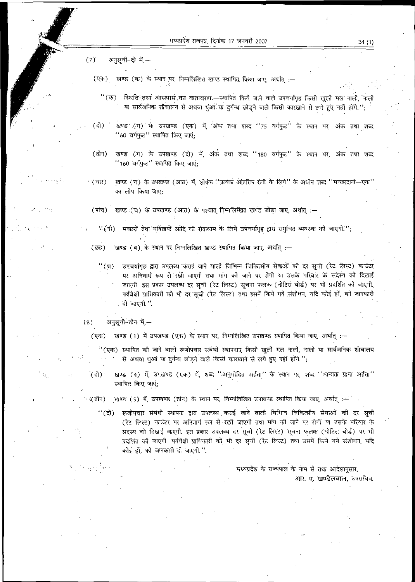$(7)$ अनुसूची-दो में --

(एक) खण्ड (क) के स्थान पर, निम्नलिखित खण्ड स्थापित किया जाए, अर्थात् :-

- ''(क) स्थिति तथा आसपास का वातावरण —स्थापित किये जाने वाले उपचर्यागृह किसी खुली मल नाली, नाली या सार्वजनिक शोचालय से अथवा धूंआ या दुर्गन्ध छोड़ने वाले किसी कारखाने से लगे हुए नहीं होंगे.'';
- खण्ड (ग) के उपखण्ड (एक) में, अंक तथा शब्द "75 वर्गफुट" के स्थान पर, अंक तथा शब्द (दो) ं "60 वर्गफुट" स्थापित किए जाएं;
- $(d\vec{n})$ खण्ड (ग) के उपखण्ड (दो) में, अंक तथा शब्द "180 वर्गफुट" के स्थान पर, अंक तथा शब्द "160 वर्गफुट" स्थापित किए जाएं:
- खण्ड (च) के उपखण्ड (आठ) में, शीर्षक ''प्रत्येक आंतरिक रोगी के लिये'' के अधीन शब्द ''मच्छरदानी—एक'' . र (चार) का लोप किया जाए:

(पांच) खण्ड (च) के उपखण्ड (आठ) के पश्चात् निम्नलिखित खण्ड जोड़ा जाए, अर्थात् :-

" (नी) मच्छरों तेथा मकिंखयों आदि की रोकथाम के लिये उपचर्यागृह द्वारा समुचित व्यवस्था की जाएगी.'';

खण्ड (थ) के स्थान पर निम्नलिखित खण्ड स्थापित किया जाए, अर्थात् :-( ন্তর্

- उपचर्यागृह द्वारा उपलब्ध कराई जाने वाली विभिन्न चिकित्सीय सेवाओं की दर सूची (रेट लिस्ट) काउंटर  $"$ (2) पर अनिवार्य रूप से रखी जाएगी तथा मांग की जाने पर रोगी या उसके परिवार के सदस्य को दिखाई जाएगी. इस प्रकार उपलब्ध दर सूची (रेट लिस्ट) सूचना फलक (नोटिस बोर्ड) पर भी प्रदर्शित को जाएगी. पर्यवेक्षी प्राधिकारी को भी दर सूची (रेट लिस्ट) तथा इसमें किये गये संशोधन, यदि कोई हों, की जानकारी दी जाएगी.''.
- $(8)$ अनुसूची-तीन में,-

(एक) खण्ड (1) में उपखण्ड (एक) के स्थान पर, निम्नलिखित उपखण्ड स्थापित किया जाए, अर्थात् :--

'' (एक) स्थापित को जाने वाली रूजोपचार संबंधी स्थापनाएं किसी खुली मल नाली, नाली या सार्वजनिक शौचालय से अथवा धुआं या दुर्गन्ध छोड़ने वाले किसी कारखाने से लगे हुए नहीं होंगे.";

- खण्ड (4) में, उपखण्ड (एक) में, शब्द ''अनुमोदित अर्हता'' के स्थान पर, शब्द ''मान्यता प्राप्त अर्हता'' ं( दो ) स्थापित किए जाएं;
- खण्ड (5) में, उपखण्ड (तीन) के स्थान पर, निम्नलिखित उपखण्ड स्थापित किया जाए, अर्थात् :-ं(तीन)
	- रूजोपचार संबंधी स्थापना द्वारा उपलब्ध कराई जाने वाली विभिन्न चिकित्सीय सेवाओं को दर सूची " (दो) (रेट लिस्ट) काउंटर पर अनिवार्य रूप से रखी जाएगी तथा मांग की जाने पर रोगों या उसके परिवार के सदस्य को दिखाई जाएगी. इस प्रकार उपलब्ध दर सूची (रेट लिस्ट) सूचना फलक (नोटिस बोर्ड) पर भी प्रदर्शित की जाएगी. पर्यवेक्षी प्राधिकारी को भी दर सूची (रेट लिस्ट) तथा उसमें किये गये संशोधन, यदि कोई हों, को जानकारी दी जाएगी.".

मध्यप्रदेश के राज्यपाल के नाम से तथा आदेशानुसार, आर. ए. खण्डेलवाल, उपसचिव.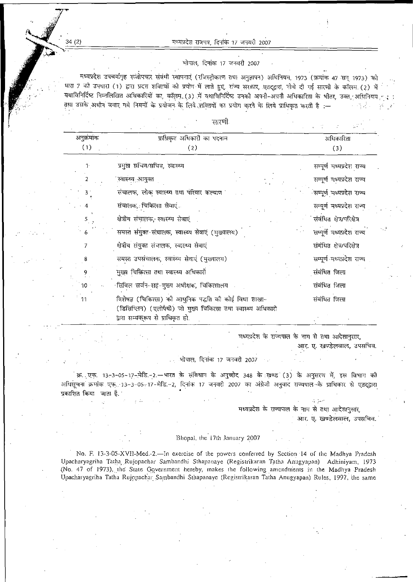मध्यप्रदेश राजपत्र, दिनांक 17 जनवरी 2007

### भोपाल, दिनांक 17 जनवरी 2007

मध्यप्रदेश उपचर्यागृह रूजोपचार संबंधी स्थापनाएं (रजिस्ट्रीकरण तथा अनुज्ञापन) अधिनियम, 1973 (क्रमांक 47 सन् 1973) की धारा 7 की उपधारा (1) द्वारा प्रदत्त शक्तियों को प्रयोग में लाते हुए, राज्य सरकार, एतदद्वारा, नीचे दी गई सारणी के कॉलम. (2) में यथाविनिर्दिष्ट निम्नलिखित अधिकारियों का, कॉलम. (3) में यथाविनिर्दिष्ट उनकी अपनी-अपनी अधिकारिता के भीतर, उक्त आधनियम ब तथा उसके अधीन बनाए गये नियमों के प्रयोजन के लिये शक्तियों का प्रयोग करने के लिये प्राधिकृत करती है :-

### सारणी

| अनुक्रमांक      | प्राधिकृत अधिकारी का पदनाम                                                                                                                                   | अधिकारिता                  |  |
|-----------------|--------------------------------------------------------------------------------------------------------------------------------------------------------------|----------------------------|--|
| (1)             | (2)                                                                                                                                                          | (3)                        |  |
| $\mathbf{1}$    | प्रमुख सचिव/सचिव, स्वास्थ्य                                                                                                                                  | सम्पूर्ण मध्यप्रदेश राज्य  |  |
| 2               | स्वास्थ्य आयुक्त                                                                                                                                             | सम्पूर्ण मध्यप्रदेश राज्य  |  |
|                 | संचालक, लोक स्वास्थ्य तथा परिवार कल्याण                                                                                                                      | ंसम्पूर्ण मध्यप्रदेश राज्य |  |
|                 | संचालक, चिकित्सा सेवाएं                                                                                                                                      | सम्पूर्ण मध्यप्रदेश राज्य  |  |
| $5\frac{1}{2}$  | क्षेत्रीय संचालक, स्वास्थ्य सेवाएं                                                                                                                           | संबंधित क्षेत्र/परिक्षेत्र |  |
| 6               | समस्त संयुक्त संचालक, स्वास्थ्य सेवाएं (मुख्यालय)                                                                                                            | सम्पूर्ण मध्यप्रदेश राज्य  |  |
| 7               | क्षेत्रीय संयुक्त संचालक, स्वास्थ्य सेवाएं                                                                                                                   | सबंधित क्षेत्र/परिक्षेत्र  |  |
| 8               | समस्त उपसंचालक, स्वास्थ्य सेवाएं (मुख्यालय)                                                                                                                  | सम्पूर्ण मध्यप्रदेश राज्य  |  |
| 9               | मुख्य चिकित्सा तथा स्वास्थ्य अधिकारी                                                                                                                         | संबंधित जिला               |  |
| 10 <sub>1</sub> | र्सिविल सर्जन-सह-मुख्य अधीक्षक, चिकित्सालय                                                                                                                   | संबंधित जिला               |  |
| 11              | विशेषज्ञ (चिकित्सा) को आधुनिक पद्धति को कोई विधा शाखा-<br>(डिसिप्लिन) (एलोपैथी) जो मुख्य चिकित्सा तथा स्वास्थ्य अधिकारी<br>द्वारा सम्यक् ूष से प्राधिकृत हो. | संबंधित जिला               |  |

मध्यप्रदेश के राज्यपाल के नाम से तथा आदेशानुसार, आर. ए. खण्डेलवाल, उपसचिव.

भोपाल, दिनांक 17 जनवरी 2007

क्र. एफ. 13-3-05-17-मेडि.-2.--भारत के संविधान के अनुच्छेद 348 के खण्ड (3) के अनुसरण में, इस विभाग को अधिसूचना क्रमांक एफ. 13-3-05-17-मेडि.-2, दिनांक 17 जनवरी 2007 का अंग्रेजी अनुवाद राज्यपाल के प्राधिकार से एतदुद्वारा प्रकाशित किया जाता है.

> मध्यप्रदेश के राज्यपाल के नाम से तथा आदेशानसार. आर. ए. खण्डेलवाल, उपसचिव.

 $4.30$ 

### Bhopal, the 17th January 2007

No. F. 13-3-05-XVII-Med.-2.—In exercise of the powers conferred by Section 14 of the Madhya Pradesh Upacharyagriha Tatha Rujopachar Sambandhi Sthapanaye (Registrikaran Tatha Anugyapan) Adhiniyam, 1973 (No. 47 of 1973), the State Government hereby, makes the following amendments in the Madhya Pradesh Upacharyagriha Tatha Rujopachar Sambandhi Sthapanaye (Registrikaran Tatha Anugyapan) Rules, 1997, the same

34 (2)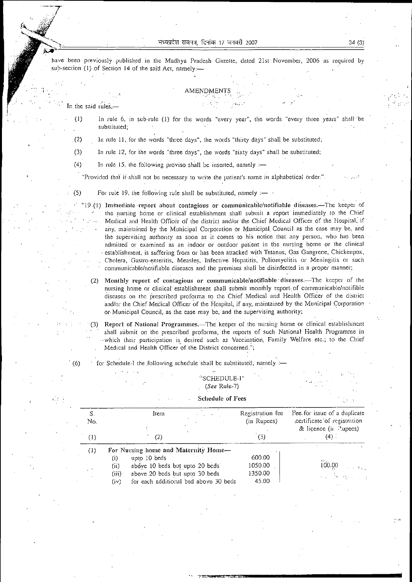have been previously published in the Madhya Pradesh Gazette, dated 21st November. 2006 as required by sub-section (1) of Section 14 of the said Act, namely:—

### **AMENDMENTS**

In the said rules,—

• (1)

'

In rule 6, in sub-rule (I) for the words "every year", the words ''every three years" shall be substituted;

In rule li, for the words "three days", the words "thirty days" shall be substituted; .(2)

In rule 12, for the words "three days", the words "sixty days" shall be substituted; (3)

In rule 15, the following proviso shall be inserted, namely  $:=$ (4)

"Provided that if-shall not be necessary to write the patient's name in alphabetical order."

For rule 19, the following rule shall be substituted, namely  $:$   $-$ (5)

' "19 (1) Immediate report about contagious or communicablc/notifiable diseases.—The keeper of the nursing home or clinical establishment shall submit a report immediately to the Chief Medical and Health Officer of the district and/or the Chief Medical Officer of the Hospital, if any, maintained by the Municipal Corporation or Municipal Council as the case may be, and the supervising authority as soon as it comes to his notice that any person, who has been admitted or examined as an indoor or outdoor patient in the nursing home or the clinical • establishment, is suffering'from or has been attacked with Tetanus, Gas Gangrene, Chickenpox, . Cholera, Gastro-enteritis, Measles, Infective Hepatitis, Poliomyelitis or Meningitis or such communicablc/notifiable diseases and the premises shall be disinfected in a proper manner;

(2) Monthly report of contagious or communicable/notifiable diseases.—The keeper of the nursing home or clinical'establishment shall submit monthly report , of communicable/notifible diseases on the prescribed proforma to the Chief Medical and Health Officer of the district and/or the Chief Medical Officer of the Hospital, if any, maintained by the Municipal Corporation • or Municipal Council, as the case may be, and the supervising authority;

 (3) Report of National Programmes.—The keeper of the nursing home or clinical establishment shall submit on the prescribed proforma, the reports of such National Health Programme in -which their participation is desired such as Vaccination, Family Welfare etc.; to the Chief Medical and Health Officer of the District concerned.";

(6) ' for Schedule-I the. following schedule shall be substituted, namely :—

### **<sup>&</sup>gt; ri**SCHEDULE-I" *(See* Rule-7)

| S.<br>No. | Item                                          | Registration fee<br>(in Rupees) | Fee for issue of a duplicate<br>certificate of registration<br>& licence (ii. Rupees) |
|-----------|-----------------------------------------------|---------------------------------|---------------------------------------------------------------------------------------|
| $^{(1)}$  | (2)                                           | (3)                             | $(4)$ .                                                                               |
| (1)       | For Nursing home and Maternity Home-          |                                 |                                                                                       |
|           | upto 10 beds<br>$\left( i\right)$             | 600.00                          | AS Y                                                                                  |
|           | above 10 beds but upto 20 beds<br>(i)         | 1050.00                         | 100.00                                                                                |
|           | above 20 beds but upto 30 beds<br>(iii)       | 1350.00                         | and the series                                                                        |
|           | for each additional bed above 30 beds<br>(iv) | 45.00                           |                                                                                       |

#### Schedule of Fees

*tm*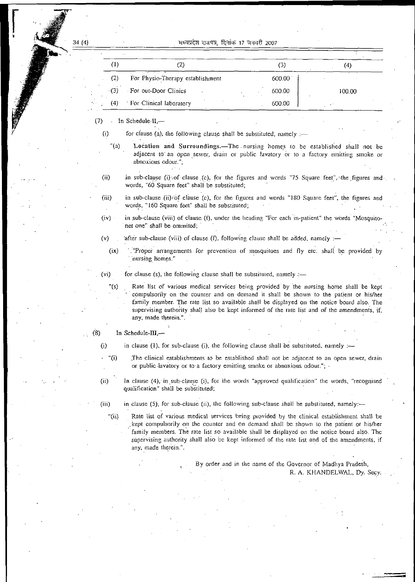### (4) 17 2007

|        | ٠.                               |        |        |
|--------|----------------------------------|--------|--------|
|        | $\mathcal{L}_{\mathcal{L}}$      | 3)     |        |
| (2)    | For Physio-Therapy establishment | 600.00 |        |
| $-(3)$ | For out-Door Clinics             | 600.00 | 100.00 |
| (4)    | For Clinical laboratory          | 600.00 |        |

(7) In Schedule-II,—

**(0**

- for clause (a), the following clause shall be substituted, namely  $:=$
- Location and Surroundings.—The nursing homes to be established shall not be adjacent to' an open sewer, drain or public lavatory or to a factory emitting smoke or abnoxious odour."; "(a)
- in sub-clause (i) of clause (c), for the figures and words "75 Square feet", the figures andwords, "60 Square feet" shall- be substituted; (ii)
- *(in)* in sub-clause (ii)'Of clause (c), for the figures and words "380 Square feet", the figures and words, "160 Square feet" shall be substituted;
- (iv) in .sub-clause (viii) of clause (f), under the heading "For each in-patient" the words "Mosquitonet one" shall be ommited;
- after sub-clause (viii) of clause (f), following clause shall be added, namely :-(v)
	- '."Proper arrangements for prevention of mosquitoes and fly etc. shall, be provided by 'nursing homes." (ix)

- (vi) for clause (s), the following clause shall be substituted, namely  $=$ 
	- "(s) Rate list of various medical services being provided by the nursing home shall be kept ' compulsorily on the counter and on demand it shall be shown to the patient or his/her family member. The rate list so available shall be displayed on the notice board also. The supervising authority shall also be kept informed of the rate list and of the amendments, if, any, made therein.".
- $(8)$  In Schedule-III,-
	- **0)**
- in clause (1), for sub-clause (i), the following clause shall be substituted, namely :—
	- The clinical establishments to be established shall not be adjacent to an open sewer, drain or public lavatory or to a factory emitting smoke or abnoxious odour."; • **• "(>)**
		- In clause (4), in sub-clause (i), for the words "approved qualification" the words, "recognised qualification" shall be substituted;

(iii)

(ii)

- in clause (5), for sub-clause (ii), the following sub-clause shall be substituted, namely:—
- Rate list of various medical services being provided by the clinical establishment shall be .kept compulsorily on the counter and on demand shall be shown to the patient or his/her family members. The rate list so available shall be displayed on the notice board also. The supervising authority shall also be kept informed of the rate list and of the amendments, if any, made therein.". "(ii)

By order and in the name of the Governor of Madhya Pradesh. R. A. KHANDELWAL, Dy. Secy: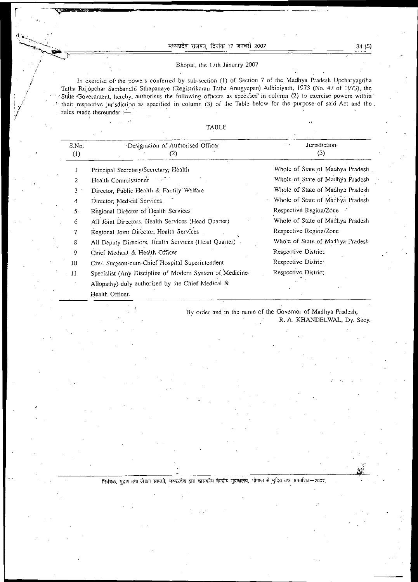### मध्यप्रदेश राजपत्र, दिनांक 17 जनवरी 2007

**r**

**,~V3» -^\_** '■ •

/

*Y y /*

f / **7**

### Bhopal, the 17th January 2007

In exercise of-the powers conferred by sub-scction (I) of Section 7 of the Madhya Pradesh Upcharyagriha Tatha Rujopchar Sambandhi Slhapanaye (Registrikaran Tatha Anugyapan) Adhiniyam, 1973 (No. 47 of 1973), the State Government, hereby, authorises the following officers as specified in column (2) to exercise powers within : their respective jurisdiction "as specified in column (3) of the Table below for the purpose of said Act and the. rules made thereunder

TABLE

| S.No.<br>$\left(1\right)$ | Designation of Authorised Officer<br>(2)                 | Jurisdiction-<br>(3)              |
|---------------------------|----------------------------------------------------------|-----------------------------------|
|                           | Principal Secretary/Secretary, Health                    | Whole of State of Madhya Pradesh. |
| 2                         | Health Commissioner                                      | Whole of State of Madhya Pradesh  |
| 3                         | Director, Public Health & Family Welfare                 | Whole of State of Madhya Pradesh  |
| 4                         | Director; Medical Services                               | Whole of State of Madhya Pradesh  |
| $5 -$                     | Regional Director of Health Services                     | Respective Region/Zone .          |
| 6                         | All Joint Directors, Health Services (Head Quarter)      | Whole of State of Madhya Pradesh  |
| 7                         | Regional Joint Director, Health Services                 | Respective Region/Zone            |
| 8                         | All Deputy Directors, Health Services (Head Quarter)     | Whole of State of Madhya Pradesh  |
| $\mathbf{9}$              | Chief Medical & Health Officer                           | Respective District               |
| 10                        | Civil Surgeon-cum-Chief Hospital Superintendent          | Respective District               |
| 11                        | Specialist (Any Discipline of Modern System of Medicine- | Respective District               |
|                           | Allopathy) duly authorised by the Chief Medical &        |                                   |
|                           | Health Officer.                                          |                                   |

By order and in the name of the Governor of Madhya Pradesh, R. A. KHANDELWAL, Dy. Secy.

निवंत्रक, मुद्रण तथा लेखन सामग्री, मध्यप्रदेश द्वारा शासकीय केन्द्रीय मुद्रणालय, भोपाल से मुद्रित तथा प्रकाशित—2007.

*S* \*  $: \mathbb{R}^n$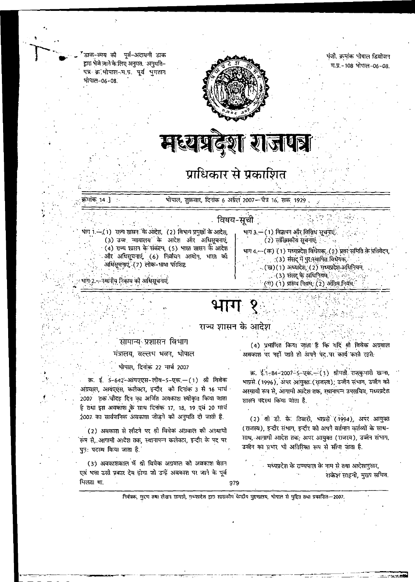डाक–व्यय को पूर्व–अदायगी डाक द्वारा भेजे जाने के लिए अनुमत. `अनुमति– पत्र क्र**ेमोपाल--म.प्र. पूर्व भुगतान** भोपाल-06-08.

'

<5

/

. »

*1* ••

7

*4\**



### पंजी. क्रमांक भोपाल डिवोजन म.प्र.-108 भोपाल-06-08.

/.

# मध्यप्रदेश राजपत्र

## प्राधिकार से प्रकाशित

.<br>क्रमांक 14.] भोपाल, शुक्रवार, दिनांक 6 अप्रैल 2007—त्येत्र 16, शक 1929

### ं विषय-सूची

भाग 1.—.(1) राज़्य शासन के ओदेश, (2) विभाग प्रमुखों के आदेश, ...<br>(3) उच्च न्यायालय के आदेश और अधिसूचनाएं (4) राज्य शासन के संकल्प, (5) भारत शासन के आदेश और अधिसूचनाएं (6) निर्वाचन आयोग, भारत को अधिसूचनाएं (7) लोक-भाषा परिशिष्ट

### HR:2.—स्थानीय निकाय की अधिसूचनाएं

### भाग 3,— ( 1). विज्ञापन और विविध सूचनाएं. ) (2) सांख्यिकीय सूचनाएं: <sup>;</sup> •

भाग 4.—(*क*) (1) मध्यप्रदेश विधेयक्, (2) प्रवर समिति के प्रतिवेदन,

•>

*{*

 $\cdot$  (3) संसद् में पुर:स्थापित विधेयक,

 $\mathbf{r}$ 

- $(3)$  ।) अध्यादेश,  $(2)$  मध्यप्रदेश अधिनियम,
- .. (3) संसद् के अधिनियम,
- $(7)$  (1) प्रारूप नियम, (2) अंतिम नियम.

,\*.

# <u>भाग १</u>

### राज्य शासन के आदेश

### सामान्य प्रशासन विभाग

### मंत्रालय, वल्लभ भवन, भोपाल

### भोपाल, दिनाक 22 मार्च 2007

3. ई. 5-642-ऑयएएस-लीव-5-एक.—(1) श्री विवेक अग्रवाल, आयएएस, कलेक्टर, इन्दौर को दिनांक 3 से 16 मार्च .<br>2007 तक चौदह दिन का अर्जित अवकाश स्वीकृत किया जाता है तथा इस अवकाश के साथ दिनांक 17, 18, 19 एवं 20 मार्च .2007 का सार्वजनिक अवकाश जोड़ने को अनुमति दो जाती है.

(2) अवकाश से लौटने पर श्नी विवेक अग्रवाल को अस्थायी 'रूप से, आगामी आदेश तक, स्थानापन्न कलेक्टर, इन्दौर के पद पर पुन: पदस्थ किया जाता है.

(3) अवकाशकाल में श्री विवेक अग्रवाल को अवकाश वेतन एवं भत्ता उसी प्रकार देय होगा जो उन्हें अवकाश पर जाने के पूर्व मिलता था. 979

(4) प्रमाणित किया जाता है कि यदि श्री विवेक अग्रवाल अवकाश पर नहीं जाते तो अपने पद पर कार्य करते रहते.

क्र. ई. 1-84-2007-5-एक.--(1) श्रीमती राजकुमारी खन्ना, भाप्रसे (1996), अपर आयुक्तः (राजस्व); उज्जैन संभाग, उज्जैन को अस्थायी रूप से, आगामी आदेश तक, स्थानापन्न उपसचिव, मध्यप्रदेश शासन पदस्थ किया जाता है.

(2) श्री डी. के. तिवारी, भाप्रसे (1994), अपर आयुक्त (राजस्व), इन्दौर संभाग, इन्दौर को अपने वर्तमान कर्तव्यों के साथ-साथ, आगामी आदेश तक; अपर आयुक्त (राजस्व), उज्जैन संभाग, उज्जैन का प्रभार भी अतिरिक्त रूप से सौंपा जाता है.

ं मध्यप्रदेश के राज्यपाल के नाम से तथा आदेशानुसार, राकेश साहनी, मुख्य सचिव.

नियंत्रक, मुद्रण तथा लेखन सामग्री, मध्यप्रदेश द्वारा शासकोय केन्द्रीय मुद्रणालय, भोपाल से मुद्रित तथा प्रकाशित—2007.